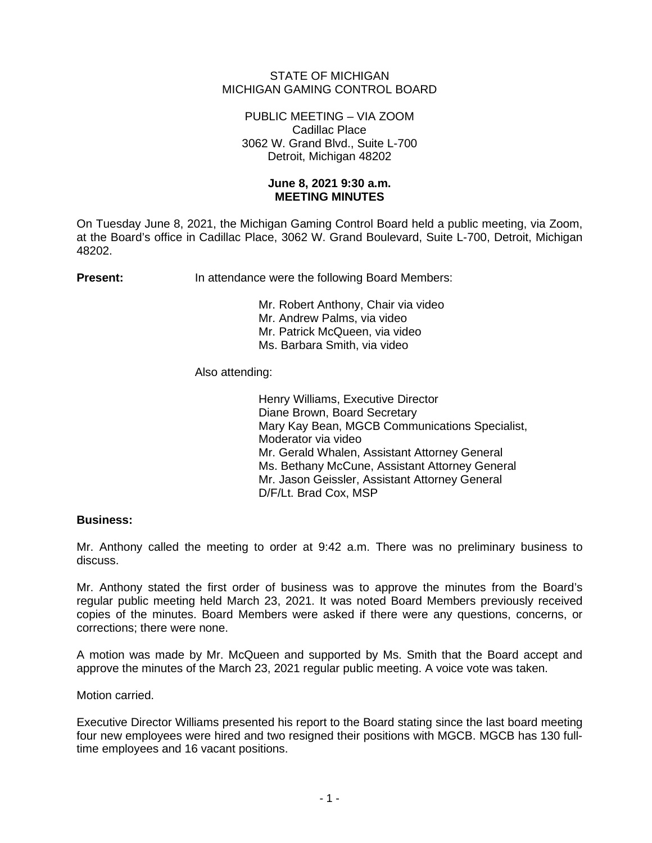## STATE OF MICHIGAN MICHIGAN GAMING CONTROL BOARD

PUBLIC MEETING – VIA ZOOM Cadillac Place 3062 W. Grand Blvd., Suite L-700 Detroit, Michigan 48202

## **June 8, 2021 9:30 a.m. MEETING MINUTES**

On Tuesday June 8, 2021, the Michigan Gaming Control Board held a public meeting, via Zoom, at the Board's office in Cadillac Place, 3062 W. Grand Boulevard, Suite L-700, Detroit, Michigan 48202.

**Present:** In attendance were the following Board Members:

Mr. Robert Anthony, Chair via video Mr. Andrew Palms, via video Mr. Patrick McQueen, via video Ms. Barbara Smith, via video

## Also attending:

Henry Williams, Executive Director Diane Brown, Board Secretary Mary Kay Bean, MGCB Communications Specialist, Moderator via video Mr. Gerald Whalen, Assistant Attorney General Ms. Bethany McCune, Assistant Attorney General Mr. Jason Geissler, Assistant Attorney General D/F/Lt. Brad Cox, MSP

## **Business:**

Mr. Anthony called the meeting to order at 9:42 a.m. There was no preliminary business to discuss.

Mr. Anthony stated the first order of business was to approve the minutes from the Board's regular public meeting held March 23, 2021. It was noted Board Members previously received copies of the minutes. Board Members were asked if there were any questions, concerns, or corrections; there were none.

A motion was made by Mr. McQueen and supported by Ms. Smith that the Board accept and approve the minutes of the March 23, 2021 regular public meeting. A voice vote was taken.

Motion carried.

Executive Director Williams presented his report to the Board stating since the last board meeting four new employees were hired and two resigned their positions with MGCB. MGCB has 130 fulltime employees and 16 vacant positions.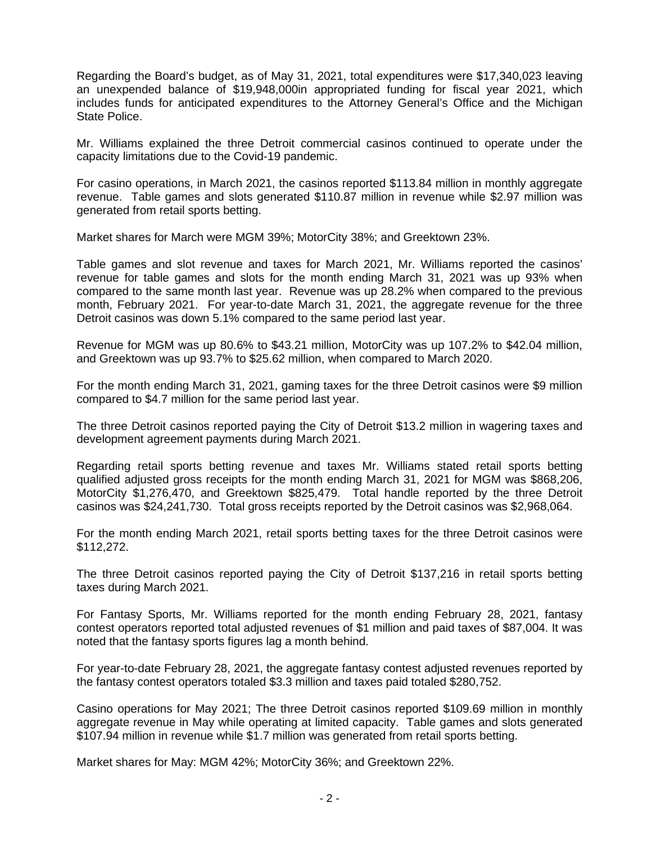Regarding the Board's budget, as of May 31, 2021, total expenditures were \$17,340,023 leaving an unexpended balance of \$19,948,000in appropriated funding for fiscal year 2021, which includes funds for anticipated expenditures to the Attorney General's Office and the Michigan State Police.

Mr. Williams explained the three Detroit commercial casinos continued to operate under the capacity limitations due to the Covid-19 pandemic.

For casino operations, in March 2021, the casinos reported \$113.84 million in monthly aggregate revenue. Table games and slots generated \$110.87 million in revenue while \$2.97 million was generated from retail sports betting.

Market shares for March were MGM 39%; MotorCity 38%; and Greektown 23%.

Table games and slot revenue and taxes for March 2021, Mr. Williams reported the casinos' revenue for table games and slots for the month ending March 31, 2021 was up 93% when compared to the same month last year. Revenue was up 28.2% when compared to the previous month, February 2021. For year-to-date March 31, 2021, the aggregate revenue for the three Detroit casinos was down 5.1% compared to the same period last year.

Revenue for MGM was up 80.6% to \$43.21 million, MotorCity was up 107.2% to \$42.04 million, and Greektown was up 93.7% to \$25.62 million, when compared to March 2020.

For the month ending March 31, 2021, gaming taxes for the three Detroit casinos were \$9 million compared to \$4.7 million for the same period last year.

The three Detroit casinos reported paying the City of Detroit \$13.2 million in wagering taxes and development agreement payments during March 2021.

Regarding retail sports betting revenue and taxes Mr. Williams stated retail sports betting qualified adjusted gross receipts for the month ending March 31, 2021 for MGM was \$868,206, MotorCity \$1,276,470, and Greektown \$825,479. Total handle reported by the three Detroit casinos was \$24,241,730. Total gross receipts reported by the Detroit casinos was \$2,968,064.

For the month ending March 2021, retail sports betting taxes for the three Detroit casinos were \$112,272.

The three Detroit casinos reported paying the City of Detroit \$137,216 in retail sports betting taxes during March 2021.

For Fantasy Sports, Mr. Williams reported for the month ending February 28, 2021, fantasy contest operators reported total adjusted revenues of \$1 million and paid taxes of \$87,004. It was noted that the fantasy sports figures lag a month behind.

For year-to-date February 28, 2021, the aggregate fantasy contest adjusted revenues reported by the fantasy contest operators totaled \$3.3 million and taxes paid totaled \$280,752.

Casino operations for May 2021; The three Detroit casinos reported \$109.69 million in monthly aggregate revenue in May while operating at limited capacity. Table games and slots generated \$107.94 million in revenue while \$1.7 million was generated from retail sports betting.

Market shares for May: MGM 42%; MotorCity 36%; and Greektown 22%.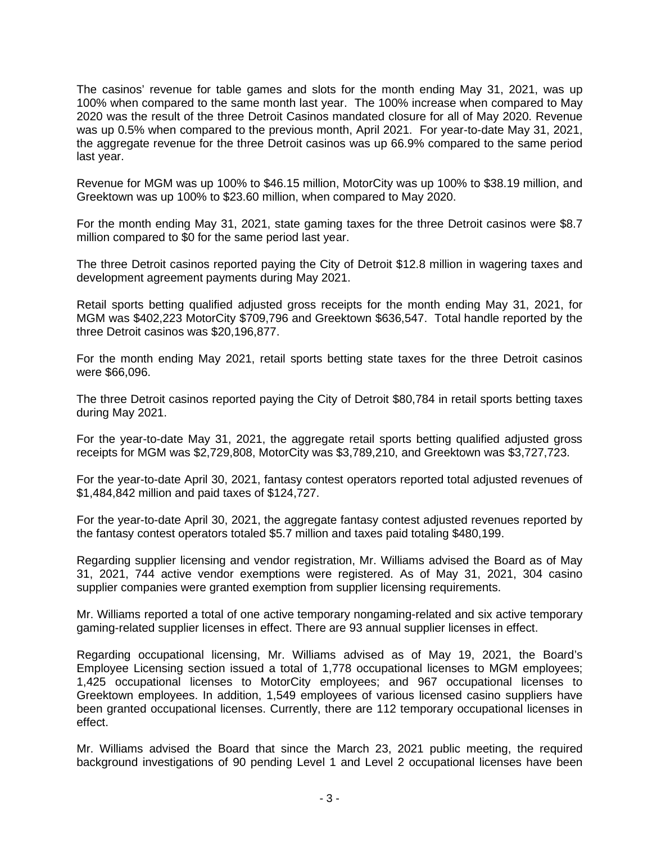The casinos' revenue for table games and slots for the month ending May 31, 2021, was up 100% when compared to the same month last year. The 100% increase when compared to May 2020 was the result of the three Detroit Casinos mandated closure for all of May 2020. Revenue was up 0.5% when compared to the previous month, April 2021. For year-to-date May 31, 2021, the aggregate revenue for the three Detroit casinos was up 66.9% compared to the same period last year.

Revenue for MGM was up 100% to \$46.15 million, MotorCity was up 100% to \$38.19 million, and Greektown was up 100% to \$23.60 million, when compared to May 2020.

For the month ending May 31, 2021, state gaming taxes for the three Detroit casinos were \$8.7 million compared to \$0 for the same period last year.

The three Detroit casinos reported paying the City of Detroit \$12.8 million in wagering taxes and development agreement payments during May 2021.

Retail sports betting qualified adjusted gross receipts for the month ending May 31, 2021, for MGM was \$402,223 MotorCity \$709,796 and Greektown \$636,547. Total handle reported by the three Detroit casinos was \$20,196,877.

For the month ending May 2021, retail sports betting state taxes for the three Detroit casinos were \$66,096.

The three Detroit casinos reported paying the City of Detroit \$80,784 in retail sports betting taxes during May 2021.

For the year-to-date May 31, 2021, the aggregate retail sports betting qualified adjusted gross receipts for MGM was \$2,729,808, MotorCity was \$3,789,210, and Greektown was \$3,727,723.

For the year-to-date April 30, 2021, fantasy contest operators reported total adjusted revenues of \$1,484,842 million and paid taxes of \$124,727.

For the year-to-date April 30, 2021, the aggregate fantasy contest adjusted revenues reported by the fantasy contest operators totaled \$5.7 million and taxes paid totaling \$480,199.

Regarding supplier licensing and vendor registration, Mr. Williams advised the Board as of May 31, 2021, 744 active vendor exemptions were registered. As of May 31, 2021, 304 casino supplier companies were granted exemption from supplier licensing requirements.

Mr. Williams reported a total of one active temporary nongaming-related and six active temporary gaming-related supplier licenses in effect. There are 93 annual supplier licenses in effect.

Regarding occupational licensing, Mr. Williams advised as of May 19, 2021, the Board's Employee Licensing section issued a total of 1,778 occupational licenses to MGM employees; 1,425 occupational licenses to MotorCity employees; and 967 occupational licenses to Greektown employees. In addition, 1,549 employees of various licensed casino suppliers have been granted occupational licenses. Currently, there are 112 temporary occupational licenses in effect.

Mr. Williams advised the Board that since the March 23, 2021 public meeting, the required background investigations of 90 pending Level 1 and Level 2 occupational licenses have been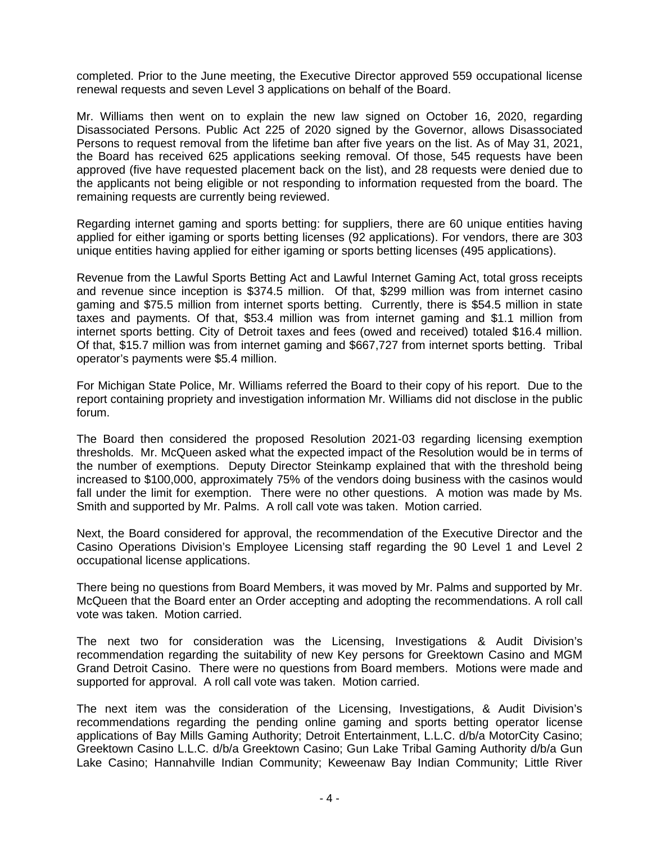completed. Prior to the June meeting, the Executive Director approved 559 occupational license renewal requests and seven Level 3 applications on behalf of the Board.

Mr. Williams then went on to explain the new law signed on October 16, 2020, regarding Disassociated Persons. Public Act 225 of 2020 signed by the Governor, allows Disassociated Persons to request removal from the lifetime ban after five years on the list. As of May 31, 2021, the Board has received 625 applications seeking removal. Of those, 545 requests have been approved (five have requested placement back on the list), and 28 requests were denied due to the applicants not being eligible or not responding to information requested from the board. The remaining requests are currently being reviewed.

Regarding internet gaming and sports betting: for suppliers, there are 60 unique entities having applied for either igaming or sports betting licenses (92 applications). For vendors, there are 303 unique entities having applied for either igaming or sports betting licenses (495 applications).

Revenue from the Lawful Sports Betting Act and Lawful Internet Gaming Act, total gross receipts and revenue since inception is \$374.5 million. Of that, \$299 million was from internet casino gaming and \$75.5 million from internet sports betting. Currently, there is \$54.5 million in state taxes and payments. Of that, \$53.4 million was from internet gaming and \$1.1 million from internet sports betting. City of Detroit taxes and fees (owed and received) totaled \$16.4 million. Of that, \$15.7 million was from internet gaming and \$667,727 from internet sports betting. Tribal operator's payments were \$5.4 million.

For Michigan State Police, Mr. Williams referred the Board to their copy of his report. Due to the report containing propriety and investigation information Mr. Williams did not disclose in the public forum.

The Board then considered the proposed Resolution 2021-03 regarding licensing exemption thresholds. Mr. McQueen asked what the expected impact of the Resolution would be in terms of the number of exemptions. Deputy Director Steinkamp explained that with the threshold being increased to \$100,000, approximately 75% of the vendors doing business with the casinos would fall under the limit for exemption. There were no other questions. A motion was made by Ms. Smith and supported by Mr. Palms. A roll call vote was taken. Motion carried.

Next, the Board considered for approval, the recommendation of the Executive Director and the Casino Operations Division's Employee Licensing staff regarding the 90 Level 1 and Level 2 occupational license applications.

There being no questions from Board Members, it was moved by Mr. Palms and supported by Mr. McQueen that the Board enter an Order accepting and adopting the recommendations. A roll call vote was taken. Motion carried.

The next two for consideration was the Licensing, Investigations & Audit Division's recommendation regarding the suitability of new Key persons for Greektown Casino and MGM Grand Detroit Casino. There were no questions from Board members. Motions were made and supported for approval. A roll call vote was taken. Motion carried.

The next item was the consideration of the Licensing, Investigations, & Audit Division's recommendations regarding the pending online gaming and sports betting operator license applications of Bay Mills Gaming Authority; Detroit Entertainment, L.L.C. d/b/a MotorCity Casino; Greektown Casino L.L.C. d/b/a Greektown Casino; Gun Lake Tribal Gaming Authority d/b/a Gun Lake Casino; Hannahville Indian Community; Keweenaw Bay Indian Community; Little River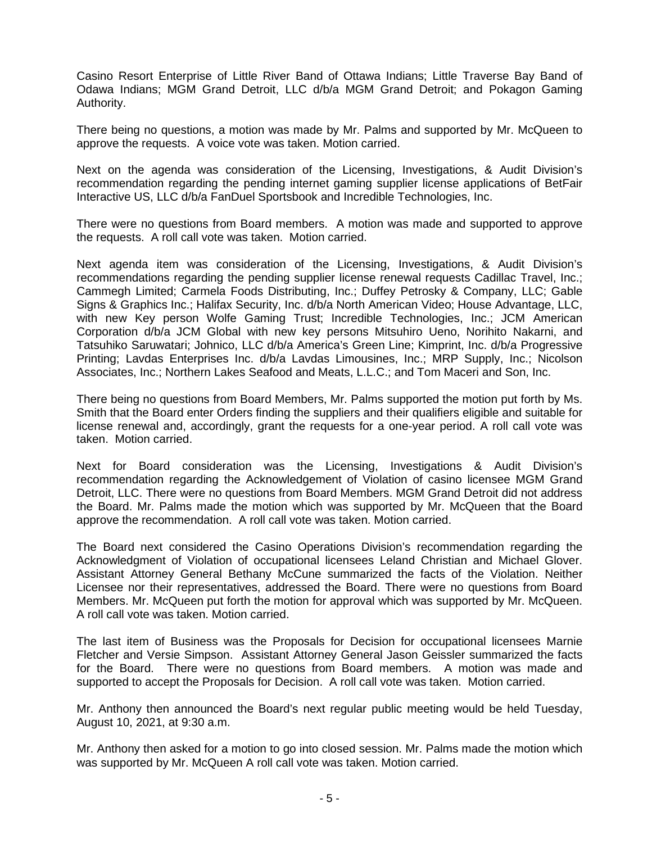Casino Resort Enterprise of Little River Band of Ottawa Indians; Little Traverse Bay Band of Odawa Indians; MGM Grand Detroit, LLC d/b/a MGM Grand Detroit; and Pokagon Gaming Authority.

There being no questions, a motion was made by Mr. Palms and supported by Mr. McQueen to approve the requests. A voice vote was taken. Motion carried.

Next on the agenda was consideration of the Licensing, Investigations, & Audit Division's recommendation regarding the pending internet gaming supplier license applications of BetFair Interactive US, LLC d/b/a FanDuel Sportsbook and Incredible Technologies, Inc.

There were no questions from Board members. A motion was made and supported to approve the requests. A roll call vote was taken. Motion carried.

Next agenda item was consideration of the Licensing, Investigations, & Audit Division's recommendations regarding the pending supplier license renewal requests Cadillac Travel, Inc.; Cammegh Limited; Carmela Foods Distributing, Inc.; Duffey Petrosky & Company, LLC; Gable Signs & Graphics Inc.; Halifax Security, Inc. d/b/a North American Video; House Advantage, LLC, with new Key person Wolfe Gaming Trust; Incredible Technologies, Inc.; JCM American Corporation d/b/a JCM Global with new key persons Mitsuhiro Ueno, Norihito Nakarni, and Tatsuhiko Saruwatari; Johnico, LLC d/b/a America's Green Line; Kimprint, Inc. d/b/a Progressive Printing; Lavdas Enterprises Inc. d/b/a Lavdas Limousines, Inc.; MRP Supply, Inc.; Nicolson Associates, Inc.; Northern Lakes Seafood and Meats, L.L.C.; and Tom Maceri and Son, Inc.

There being no questions from Board Members, Mr. Palms supported the motion put forth by Ms. Smith that the Board enter Orders finding the suppliers and their qualifiers eligible and suitable for license renewal and, accordingly, grant the requests for a one-year period. A roll call vote was taken. Motion carried.

Next for Board consideration was the Licensing, Investigations & Audit Division's recommendation regarding the Acknowledgement of Violation of casino licensee MGM Grand Detroit, LLC. There were no questions from Board Members. MGM Grand Detroit did not address the Board. Mr. Palms made the motion which was supported by Mr. McQueen that the Board approve the recommendation. A roll call vote was taken. Motion carried.

The Board next considered the Casino Operations Division's recommendation regarding the Acknowledgment of Violation of occupational licensees Leland Christian and Michael Glover. Assistant Attorney General Bethany McCune summarized the facts of the Violation. Neither Licensee nor their representatives, addressed the Board. There were no questions from Board Members. Mr. McQueen put forth the motion for approval which was supported by Mr. McQueen. A roll call vote was taken. Motion carried.

The last item of Business was the Proposals for Decision for occupational licensees Marnie Fletcher and Versie Simpson. Assistant Attorney General Jason Geissler summarized the facts for the Board. There were no questions from Board members. A motion was made and supported to accept the Proposals for Decision. A roll call vote was taken. Motion carried.

Mr. Anthony then announced the Board's next regular public meeting would be held Tuesday, August 10, 2021, at 9:30 a.m.

Mr. Anthony then asked for a motion to go into closed session. Mr. Palms made the motion which was supported by Mr. McQueen A roll call vote was taken. Motion carried.